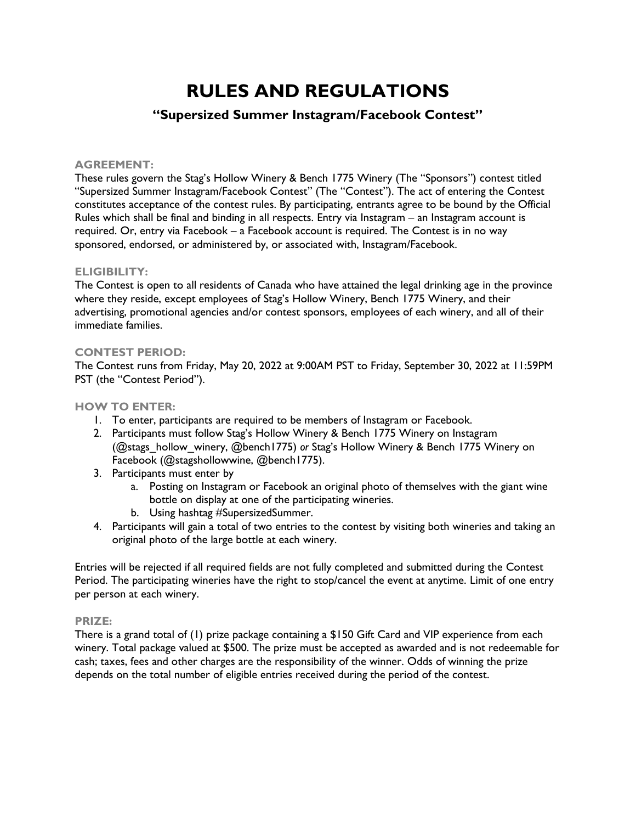# **RULES AND REGULATIONS**

# **"Supersized Summer Instagram/Facebook Contest"**

### **AGREEMENT:**

These rules govern the Stag's Hollow Winery & Bench 1775 Winery (The "Sponsors") contest titled "Supersized Summer Instagram/Facebook Contest" (The "Contest"). The act of entering the Contest constitutes acceptance of the contest rules. By participating, entrants agree to be bound by the Official Rules which shall be final and binding in all respects. Entry via Instagram – an Instagram account is required. Or, entry via Facebook – a Facebook account is required. The Contest is in no way sponsored, endorsed, or administered by, or associated with, Instagram/Facebook.

#### **ELIGIBILITY:**

The Contest is open to all residents of Canada who have attained the legal drinking age in the province where they reside, except employees of Stag's Hollow Winery, Bench 1775 Winery, and their advertising, promotional agencies and/or contest sponsors, employees of each winery, and all of their immediate families.

#### **CONTEST PERIOD:**

The Contest runs from Friday, May 20, 2022 at 9:00AM PST to Friday, September 30, 2022 at 11:59PM PST (the "Contest Period").

# **HOW TO ENTER:**

- 1. To enter, participants are required to be members of Instagram or Facebook.
- 2. Participants must follow Stag's Hollow Winery & Bench 1775 Winery on Instagram (@stags\_hollow\_winery, @bench1775) *or* Stag's Hollow Winery & Bench 1775 Winery on Facebook (@stagshollowwine, @bench1775).
- 3. Participants must enter by
	- a. Posting on Instagram or Facebook an original photo of themselves with the giant wine bottle on display at one of the participating wineries.
	- b. Using hashtag #SupersizedSummer.
- 4. Participants will gain a total of two entries to the contest by visiting both wineries and taking an original photo of the large bottle at each winery.

Entries will be rejected if all required fields are not fully completed and submitted during the Contest Period. The participating wineries have the right to stop/cancel the event at anytime. Limit of one entry per person at each winery.

#### **PRIZE:**

There is a grand total of (1) prize package containing a \$150 Gift Card and VIP experience from each winery. Total package valued at \$500. The prize must be accepted as awarded and is not redeemable for cash; taxes, fees and other charges are the responsibility of the winner. Odds of winning the prize depends on the total number of eligible entries received during the period of the contest.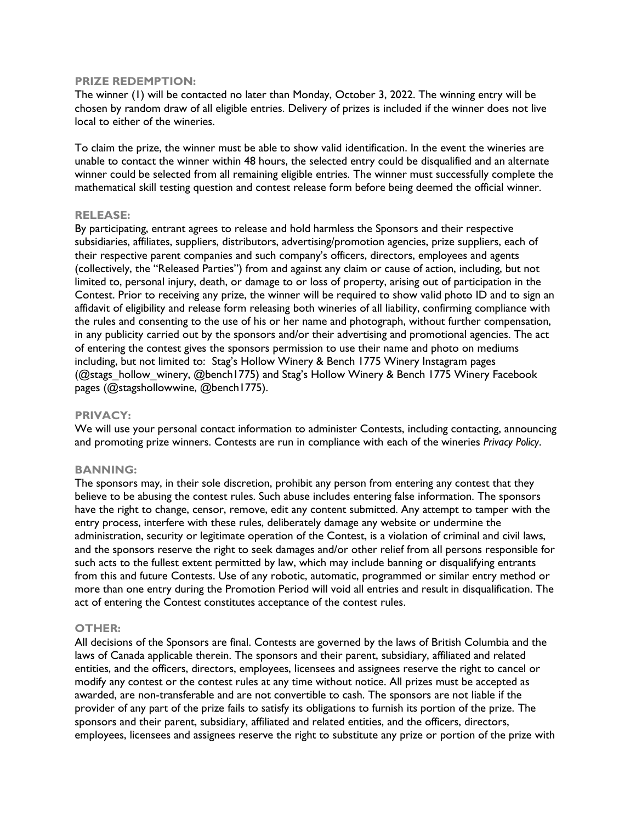#### **PRIZE REDEMPTION:**

The winner (1) will be contacted no later than Monday, October 3, 2022. The winning entry will be chosen by random draw of all eligible entries. Delivery of prizes is included if the winner does not live local to either of the wineries.

To claim the prize, the winner must be able to show valid identification. In the event the wineries are unable to contact the winner within 48 hours, the selected entry could be disqualified and an alternate winner could be selected from all remaining eligible entries. The winner must successfully complete the mathematical skill testing question and contest release form before being deemed the official winner.

#### **RELEASE:**

By participating, entrant agrees to release and hold harmless the Sponsors and their respective subsidiaries, affiliates, suppliers, distributors, advertising/promotion agencies, prize suppliers, each of their respective parent companies and such company's officers, directors, employees and agents (collectively, the "Released Parties") from and against any claim or cause of action, including, but not limited to, personal injury, death, or damage to or loss of property, arising out of participation in the Contest. Prior to receiving any prize, the winner will be required to show valid photo ID and to sign an affidavit of eligibility and release form releasing both wineries of all liability, confirming compliance with the rules and consenting to the use of his or her name and photograph, without further compensation, in any publicity carried out by the sponsors and/or their advertising and promotional agencies. The act of entering the contest gives the sponsors permission to use their name and photo on mediums including, but not limited to: Stag's Hollow Winery & Bench 1775 Winery Instagram pages (@stags\_hollow\_winery, @bench1775) and Stag's Hollow Winery & Bench 1775 Winery Facebook pages (@stagshollowwine, @bench1775).

#### **PRIVACY:**

We will use your personal contact information to administer Contests, including contacting, announcing and promoting prize winners. Contests are run in compliance with each of the wineries *Privacy Policy*.

# **BANNING:**

The sponsors may, in their sole discretion, prohibit any person from entering any contest that they believe to be abusing the contest rules. Such abuse includes entering false information. The sponsors have the right to change, censor, remove, edit any content submitted. Any attempt to tamper with the entry process, interfere with these rules, deliberately damage any website or undermine the administration, security or legitimate operation of the Contest, is a violation of criminal and civil laws, and the sponsors reserve the right to seek damages and/or other relief from all persons responsible for such acts to the fullest extent permitted by law, which may include banning or disqualifying entrants from this and future Contests. Use of any robotic, automatic, programmed or similar entry method or more than one entry during the Promotion Period will void all entries and result in disqualification. The act of entering the Contest constitutes acceptance of the contest rules.

#### **OTHER:**

All decisions of the Sponsors are final. Contests are governed by the laws of British Columbia and the laws of Canada applicable therein. The sponsors and their parent, subsidiary, affiliated and related entities, and the officers, directors, employees, licensees and assignees reserve the right to cancel or modify any contest or the contest rules at any time without notice. All prizes must be accepted as awarded, are non-transferable and are not convertible to cash. The sponsors are not liable if the provider of any part of the prize fails to satisfy its obligations to furnish its portion of the prize. The sponsors and their parent, subsidiary, affiliated and related entities, and the officers, directors, employees, licensees and assignees reserve the right to substitute any prize or portion of the prize with